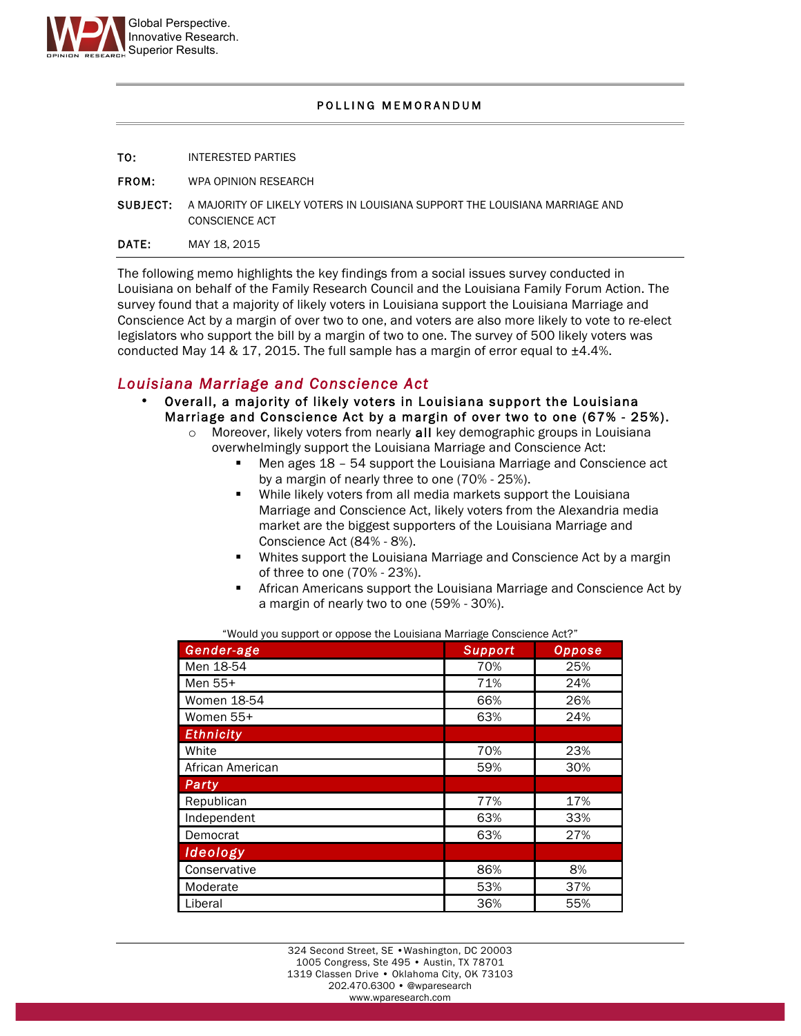

#### POLLING MEMORANDUM

| <b>DATE:</b> | MAY 18, 2015                                                                                                  |
|--------------|---------------------------------------------------------------------------------------------------------------|
|              | <b>SUBJECT:</b> A MAJORITY OF LIKELY VOTERS IN LOUISIANA SUPPORT THE LOUISIANA MARRIAGE AND<br>CONSCIENCE ACT |
| <b>FROM:</b> | WPA OPINION RESEARCH                                                                                          |
| TO:          | INTERESTED PARTIES                                                                                            |

The following memo highlights the key findings from a social issues survey conducted in Louisiana on behalf of the Family Research Council and the Louisiana Family Forum Action. The survey found that a majority of likely voters in Louisiana support the Louisiana Marriage and Conscience Act by a margin of over two to one, and voters are also more likely to vote to re-elect legislators who support the bill by a margin of two to one. The survey of 500 likely voters was conducted May 14 & 17, 2015. The full sample has a margin of error equal to  $\pm 4.4$ %.

# *Louisiana Marriage and Conscience Act*

- Overall, a majority of likely voters in Louisiana support the Louisiana Marriage and Conscience Act by a margin of over two to one (67% - 25%).
	- o Moreover, likely voters from nearly all key demographic groups in Louisiana overwhelmingly support the Louisiana Marriage and Conscience Act:
		- Men ages 18 54 support the Louisiana Marriage and Conscience act by a margin of nearly three to one (70% - 25%).
		- While likely voters from all media markets support the Louisiana Marriage and Conscience Act, likely voters from the Alexandria media market are the biggest supporters of the Louisiana Marriage and Conscience Act (84% - 8%).
		- Whites support the Louisiana Marriage and Conscience Act by a margin of three to one (70% - 23%).
		- African Americans support the Louisiana Marriage and Conscience Act by a margin of nearly two to one (59% - 30%).

"Would you support or oppose the Louisiana Marriage Conscience Act?"

| Gender-age       | <b>Support</b> | <b>Oppose</b> |
|------------------|----------------|---------------|
| Men 18-54        | 70%            | 25%           |
| Men 55+          | 71%            | 24%           |
| Women 18-54      | 66%            | 26%           |
| Women 55+        | 63%            | 24%           |
| <b>Ethnicity</b> |                |               |
| White            | 70%            | 23%           |
| African American | 59%            | 30%           |
| Party            |                |               |
| Republican       | 77%            | 17%           |
| Independent      | 63%            | 33%           |
| Democrat         | 63%            | 27%           |
| Ideology         |                |               |
| Conservative     | 86%            | 8%            |
| Moderate         | 53%            | 37%           |
| Liberal          | 36%            | 55%           |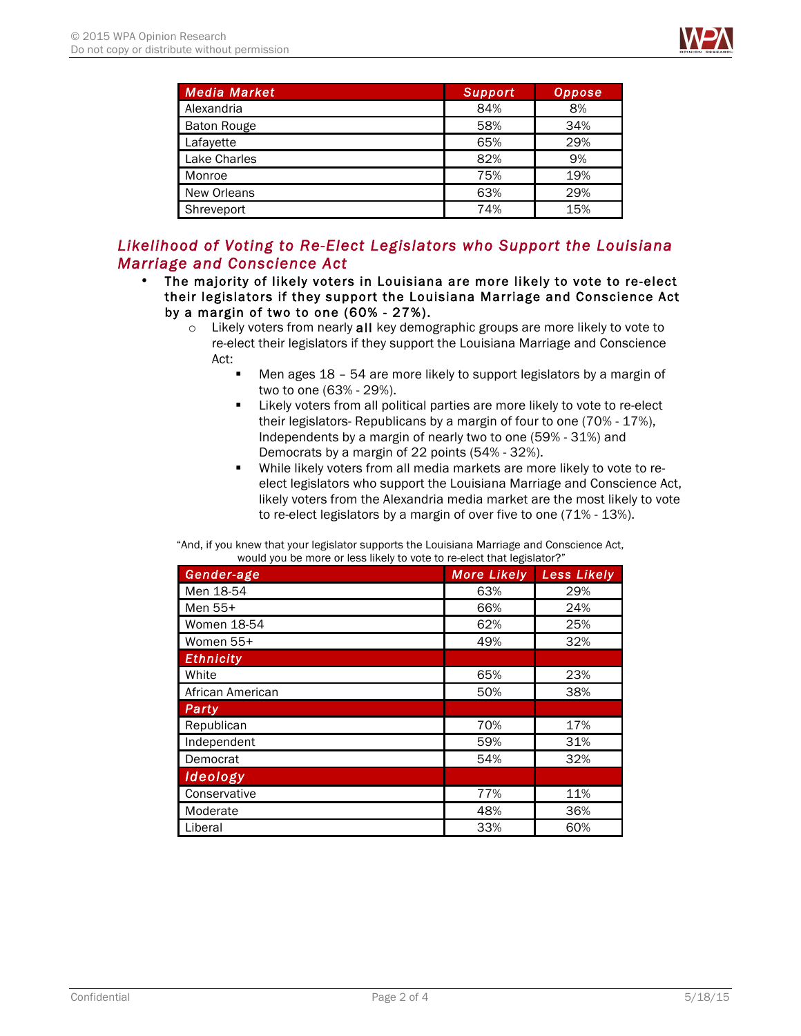

| Media Market       | <b>Support</b> | Oppose |
|--------------------|----------------|--------|
| Alexandria         | 84%            | 8%     |
| <b>Baton Rouge</b> | 58%            | 34%    |
| Lafayette          | 65%            | 29%    |
| Lake Charles       | 82%            | 9%     |
| Monroe             | 75%            | 19%    |
| New Orleans        | 63%            | 29%    |
| Shreveport         | 74%            | 15%    |

## *Likelihood of Voting to Re-Elect Legislators who Support the Louisiana Marriage and Conscience Act*

- The majority of likely voters in Louisiana are more likely to vote to re-elect their legislators if they support the Louisiana Marriage and Conscience Act by a margin of two to one (60% - 27%).
	- $\circ$  Likely voters from nearly all key demographic groups are more likely to vote to re-elect their legislators if they support the Louisiana Marriage and Conscience Act:
		- Men ages 18 54 are more likely to support legislators by a margin of two to one (63% - 29%).
		- Likely voters from all political parties are more likely to vote to re-elect their legislators- Republicans by a margin of four to one (70% - 17%), Independents by a margin of nearly two to one (59% - 31%) and Democrats by a margin of 22 points (54% - 32%).
		- While likely voters from all media markets are more likely to vote to reelect legislators who support the Louisiana Marriage and Conscience Act, likely voters from the Alexandria media market are the most likely to vote to re-elect legislators by a margin of over five to one (71% - 13%).

"And, if you knew that your legislator supports the Louisiana Marriage and Conscience Act, would you be more or less likely to vote to re-elect that legislator?"

| Gender-age         | <b>More Likely</b> | <b>Less Likely</b> |
|--------------------|--------------------|--------------------|
| Men 18-54          | 63%                | 29%                |
| Men 55+            | 66%                | 24%                |
| <b>Women 18-54</b> | 62%                | 25%                |
| Women 55+          | 49%                | 32%                |
| <b>Ethnicity</b>   |                    |                    |
| White              | 65%                | 23%                |
| African American   | 50%                | 38%                |
| Party              |                    |                    |
| Republican         | 70%                | 17%                |
| Independent        | 59%                | 31%                |
| Democrat           | 54%                | 32%                |
| <b>Ideology</b>    |                    |                    |
| Conservative       | 77%                | 11%                |
| Moderate           | 48%                | 36%                |
| Liberal            | 33%                | 60%                |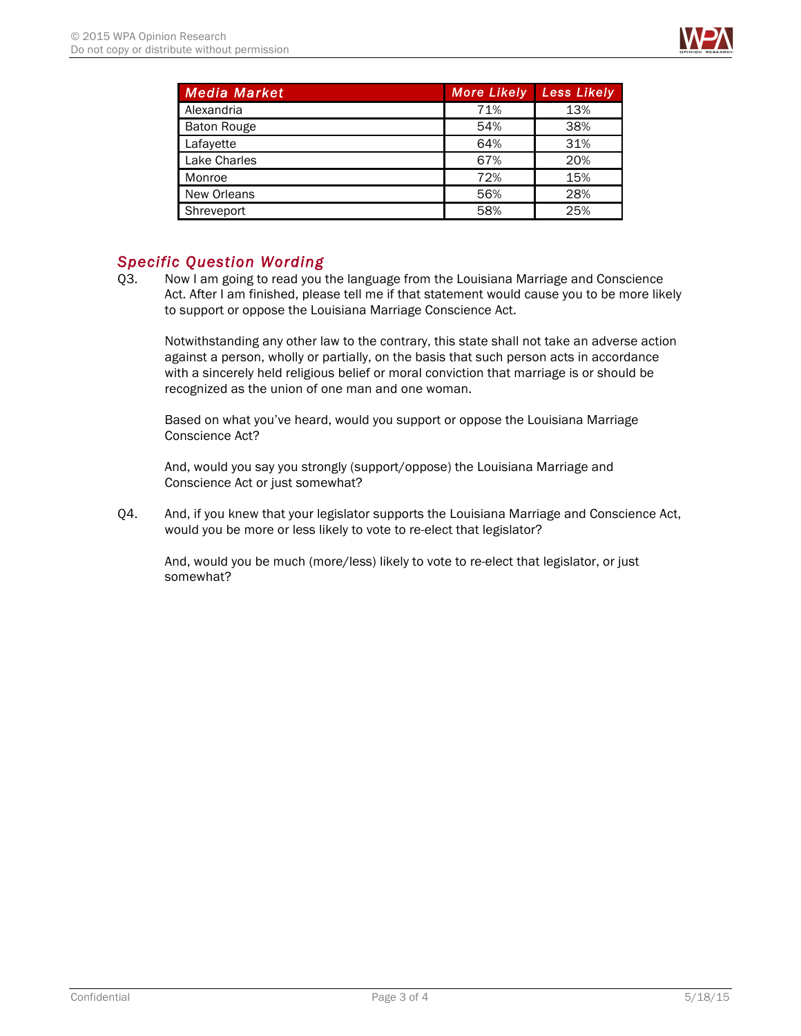

| <b>Media Market</b> | <b>More Likely</b> | Less Likely |
|---------------------|--------------------|-------------|
| Alexandria          | 71%                | 13%         |
| <b>Baton Rouge</b>  | 54%                | 38%         |
| Lafayette           | 64%                | 31%         |
| Lake Charles        | 67%                | 20%         |
| Monroe              | 72%                | 15%         |
| New Orleans         | 56%                | 28%         |
| Shreveport          | 58%                | 25%         |

## *Specific Question Wording*

Q3. Now I am going to read you the language from the Louisiana Marriage and Conscience Act. After I am finished, please tell me if that statement would cause you to be more likely to support or oppose the Louisiana Marriage Conscience Act.

Notwithstanding any other law to the contrary, this state shall not take an adverse action against a person, wholly or partially, on the basis that such person acts in accordance with a sincerely held religious belief or moral conviction that marriage is or should be recognized as the union of one man and one woman.

Based on what you've heard, would you support or oppose the Louisiana Marriage Conscience Act?

And, would you say you strongly (support/oppose) the Louisiana Marriage and Conscience Act or just somewhat?

Q4. And, if you knew that your legislator supports the Louisiana Marriage and Conscience Act, would you be more or less likely to vote to re-elect that legislator?

And, would you be much (more/less) likely to vote to re-elect that legislator, or just somewhat?